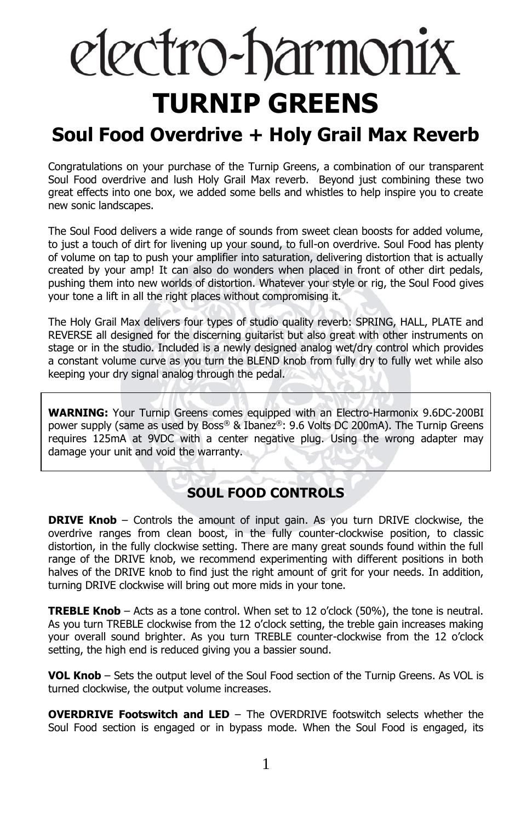# electro-harmonix **TURNIP GREENS**

## **Soul Food Overdrive + Holy Grail Max Reverb**

Congratulations on your purchase of the Turnip Greens, a combination of our transparent Soul Food overdrive and lush Holy Grail Max reverb. Beyond just combining these two great effects into one box, we added some bells and whistles to help inspire you to create new sonic landscapes.

The Soul Food delivers a wide range of sounds from sweet clean boosts for added volume, to just a touch of dirt for livening up your sound, to full-on overdrive. Soul Food has plenty of volume on tap to push your amplifier into saturation, delivering distortion that is actually created by your amp! It can also do wonders when placed in front of other dirt pedals, pushing them into new worlds of distortion. Whatever your style or rig, the Soul Food gives your tone a lift in all the right places without compromising it.

The Holy Grail Max delivers four types of studio quality reverb: SPRING, HALL, PLATE and REVERSE all designed for the discerning guitarist but also great with other instruments on stage or in the studio. Included is a newly designed analog wet/dry control which provides a constant volume curve as you turn the BLEND knob from fully dry to fully wet while also keeping your dry signal analog through the pedal.

**WARNING:** Your Turnip Greens comes equipped with an Electro-Harmonix 9.6DC-200BI power supply (same as used by Boss® & Ibanez®: 9.6 Volts DC 200mA). The Turnip Greens requires 125mA at 9VDC with a center negative plug. Using the wrong adapter may damage your unit and void the warranty.

## **SOUL FOOD CONTROLS**

**DRIVE Knob** – Controls the amount of input gain. As you turn DRIVE clockwise, the overdrive ranges from clean boost, in the fully counter-clockwise position, to classic distortion, in the fully clockwise setting. There are many great sounds found within the full range of the DRIVE knob, we recommend experimenting with different positions in both halves of the DRIVE knob to find just the right amount of grit for your needs. In addition, turning DRIVE clockwise will bring out more mids in your tone.

**TREBLE Knob** – Acts as a tone control. When set to 12 o'clock (50%), the tone is neutral. As you turn TREBLE clockwise from the 12 o'clock setting, the treble gain increases making your overall sound brighter. As you turn TREBLE counter-clockwise from the 12 o'clock setting, the high end is reduced giving you a bassier sound.

**VOL Knob** – Sets the output level of the Soul Food section of the Turnip Greens. As VOL is turned clockwise, the output volume increases.

**OVERDRIVE Footswitch and LED** – The OVERDRIVE footswitch selects whether the Soul Food section is engaged or in bypass mode. When the Soul Food is engaged, its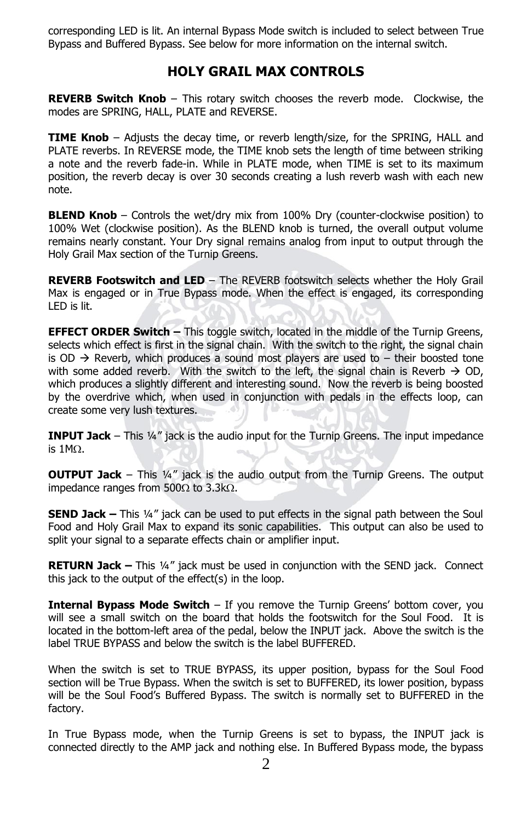corresponding LED is lit. An internal Bypass Mode switch is included to select between True Bypass and Buffered Bypass. See below for more information on the internal switch.

### **HOLY GRAIL MAX CONTROLS**

**REVERB Switch Knob** – This rotary switch chooses the reverb mode. Clockwise, the modes are SPRING, HALL, PLATE and REVERSE.

**TIME Knob** – Adjusts the decay time, or reverb length/size, for the SPRING, HALL and PLATE reverbs. In REVERSE mode, the TIME knob sets the length of time between striking a note and the reverb fade-in. While in PLATE mode, when TIME is set to its maximum position, the reverb decay is over 30 seconds creating a lush reverb wash with each new note.

**BLEND Knob** – Controls the wet/dry mix from 100% Dry (counter-clockwise position) to 100% Wet (clockwise position). As the BLEND knob is turned, the overall output volume remains nearly constant. Your Dry signal remains analog from input to output through the Holy Grail Max section of the Turnip Greens.

**REVERB Footswitch and LED** – The REVERB footswitch selects whether the Holy Grail Max is engaged or in True Bypass mode. When the effect is engaged, its corresponding LED is lit.

**EFFECT ORDER Switch –** This toggle switch, located in the middle of the Turnip Greens, selects which effect is first in the signal chain. With the switch to the right, the signal chain is OD  $\rightarrow$  Reverb, which produces a sound most players are used to – their boosted tone with some added reverb. With the switch to the left, the signal chain is Reverb  $\rightarrow$  OD, which produces a slightly different and interesting sound. Now the reverb is being boosted by the overdrive which, when used in conjunction with pedals in the effects loop, can create some very lush textures.

**INPUT Jack** – This 1/4" jack is the audio input for the Turnip Greens. The input impedance is  $1M<sub>\Omega</sub>$ .

**OUTPUT Jack** – This ¼" jack is the audio output from the Turnip Greens. The output impedance ranges from  $500\Omega$  to 3.3k $\Omega$ .

**SEND Jack –** This ¼" jack can be used to put effects in the signal path between the Soul Food and Holy Grail Max to expand its sonic capabilities. This output can also be used to split your signal to a separate effects chain or amplifier input.

**RETURN Jack –** This ¼" jack must be used in conjunction with the SEND jack. Connect this jack to the output of the effect(s) in the loop.

**Internal Bypass Mode Switch** – If you remove the Turnip Greens' bottom cover, you will see a small switch on the board that holds the footswitch for the Soul Food. It is located in the bottom-left area of the pedal, below the INPUT jack. Above the switch is the label TRUE BYPASS and below the switch is the label BUFFERED.

When the switch is set to TRUE BYPASS, its upper position, bypass for the Soul Food section will be True Bypass. When the switch is set to BUFFERED, its lower position, bypass will be the Soul Food's Buffered Bypass. The switch is normally set to BUFFERED in the factory.

In True Bypass mode, when the Turnip Greens is set to bypass, the INPUT jack is connected directly to the AMP jack and nothing else. In Buffered Bypass mode, the bypass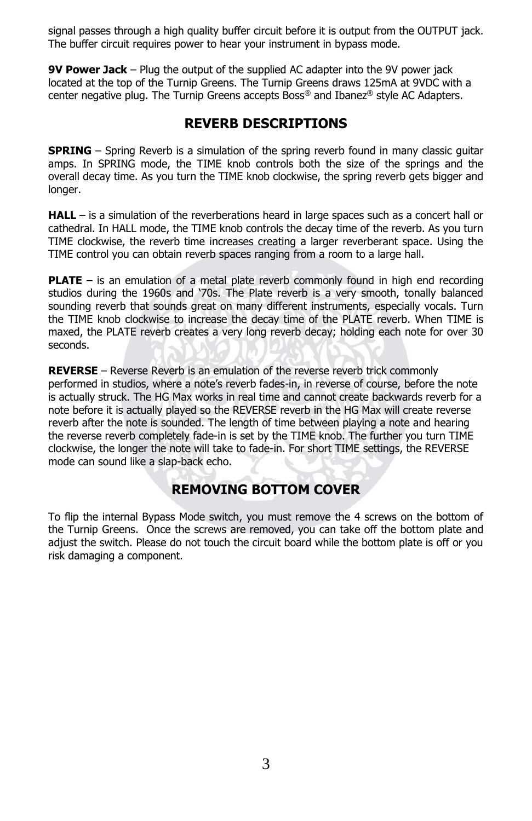signal passes through a high quality buffer circuit before it is output from the OUTPUT jack. The buffer circuit requires power to hear your instrument in bypass mode.

**9V Power Jack** – Plug the output of the supplied AC adapter into the 9V power jack located at the top of the Turnip Greens. The Turnip Greens draws 125mA at 9VDC with a center negative plug. The Turnip Greens accepts Boss® and Ibanez® style AC Adapters.

## **REVERB DESCRIPTIONS**

**SPRING** – Spring Reverb is a simulation of the spring reverb found in many classic guitar amps. In SPRING mode, the TIME knob controls both the size of the springs and the overall decay time. As you turn the TIME knob clockwise, the spring reverb gets bigger and longer.

**HALL** – is a simulation of the reverberations heard in large spaces such as a concert hall or cathedral. In HALL mode, the TIME knob controls the decay time of the reverb. As you turn TIME clockwise, the reverb time increases creating a larger reverberant space. Using the TIME control you can obtain reverb spaces ranging from a room to a large hall.

**PLATE** – is an emulation of a metal plate reverb commonly found in high end recording studios during the 1960s and '70s. The Plate reverb is a very smooth, tonally balanced sounding reverb that sounds great on many different instruments, especially vocals. Turn the TIME knob clockwise to increase the decay time of the PLATE reverb. When TIME is maxed, the PLATE reverb creates a very long reverb decay; holding each note for over 30 seconds.

**REVERSE** – Reverse Reverb is an emulation of the reverse reverb trick commonly performed in studios, where a note's reverb fades-in, in reverse of course, before the note is actually struck. The HG Max works in real time and cannot create backwards reverb for a note before it is actually played so the REVERSE reverb in the HG Max will create reverse reverb after the note is sounded. The length of time between playing a note and hearing the reverse reverb completely fade-in is set by the TIME knob. The further you turn TIME clockwise, the longer the note will take to fade-in. For short TIME settings, the REVERSE mode can sound like a slap-back echo.

## **REMOVING BOTTOM COVER**

To flip the internal Bypass Mode switch, you must remove the 4 screws on the bottom of the Turnip Greens. Once the screws are removed, you can take off the bottom plate and adjust the switch. Please do not touch the circuit board while the bottom plate is off or you risk damaging a component.